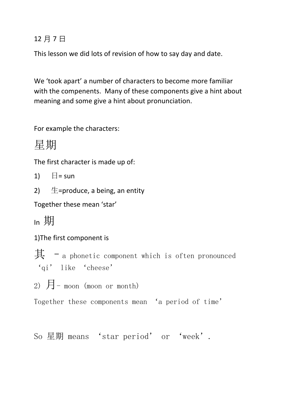## 12 月 7 日

This lesson we did lots of revision of how to say day and date.

We 'took apart' a number of characters to become more familiar with the compenents. Many of these components give a hint about meaning and some give a hint about pronunciation.

For example the characters:

星期

The first character is made up of:

1)  $\Box$  = sun

2)  $\pm$ =produce, a being, an entity

Together these mean 'star'

In 期

1)The first component is

其 – a phonetic component which is often pronounced 'qi' like 'cheese'

2)  $\overline{H}$  - moon (moon or month)

Together these components mean 'a period of time'

So 星期 means 'star period' or 'week'.